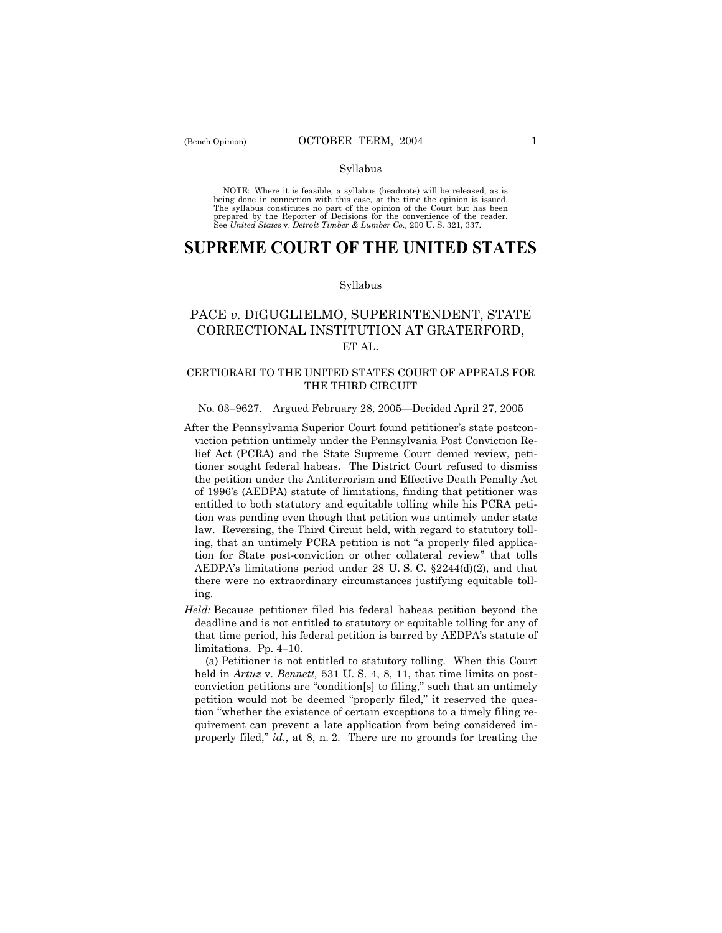#### Syllabus

NOTE: Where it is feasible, a syllabus (headnote) will be released, as is being done in connection with this case, at the time the opinion is issued. The syllabus constitutes no part of the opinion of the Court but has been<br>prepared by the Reporter of Decisions for the convenience of the reader.<br>See United States v. Detroit Timber & Lumber Co., 200 U. S. 321, 337.

# **SUPREME COURT OF THE UNITED STATES**

#### Syllabus

## PACE *v*. DIGUGLIELMO, SUPERINTENDENT, STATE CORRECTIONAL INSTITUTION AT GRATERFORD, ET AL.

## CERTIORARI TO THE UNITED STATES COURT OF APPEALS FOR THE THIRD CIRCUIT

## No. 03-9627. Argued February 28, 2005–Decided April 27, 2005

- After the Pennsylvania Superior Court found petitioner's state postconviction petition untimely under the Pennsylvania Post Conviction Relief Act (PCRA) and the State Supreme Court denied review, petitioner sought federal habeas. The District Court refused to dismiss the petition under the Antiterrorism and Effective Death Penalty Act of 1996ís (AEDPA) statute of limitations, finding that petitioner was entitled to both statutory and equitable tolling while his PCRA petition was pending even though that petition was untimely under state law. Reversing, the Third Circuit held, with regard to statutory tolling, that an untimely PCRA petition is not "a properly filed application for State post-conviction or other collateral review" that tolls AEDPA's limitations period under 28 U.S.C.  $\S 2244(d)(2)$ , and that there were no extraordinary circumstances justifying equitable tolling.
- *Held:* Because petitioner filed his federal habeas petition beyond the deadline and is not entitled to statutory or equitable tolling for any of that time period, his federal petition is barred by AEDPA's statute of limitations. Pp.  $4-10$ .

 (a) Petitioner is not entitled to statutory tolling. When this Court held in *Artuz* v. *Bennett,* 531 U. S. 4, 8, 11, that time limits on postconviction petitions are "condition[s] to filing," such that an untimely petition would not be deemed "properly filed," it reserved the question "whether the existence of certain exceptions to a timely filing requirement can prevent a late application from being considered improperly filed," *id.*, at 8, n. 2. There are no grounds for treating the